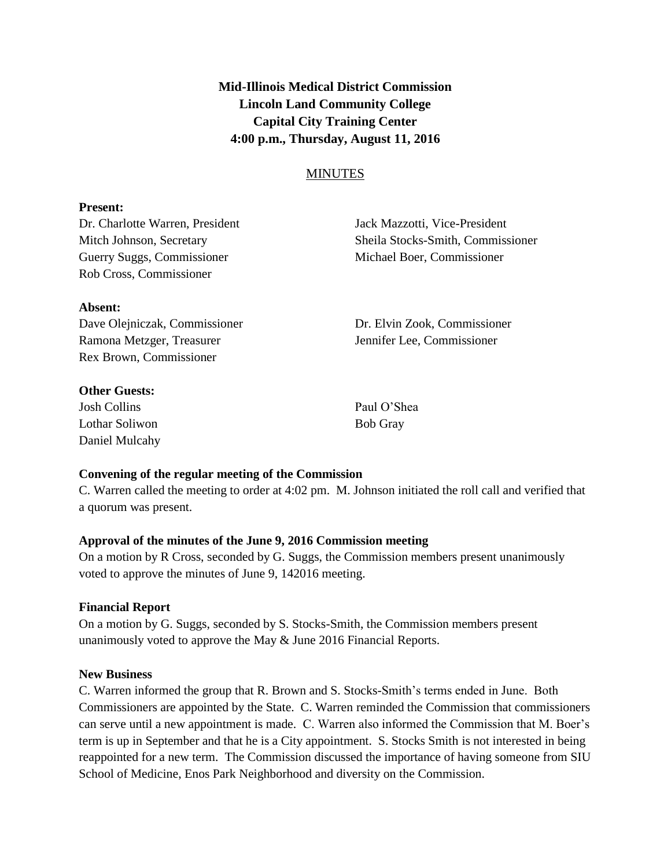**Mid-Illinois Medical District Commission Lincoln Land Community College Capital City Training Center 4:00 p.m., Thursday, August 11, 2016**

## **MINUTES**

#### **Present:**

Dr. Charlotte Warren, President Jack Mazzotti, Vice-President Guerry Suggs, Commissioner Michael Boer, Commissioner Rob Cross, Commissioner

Mitch Johnson, Secretary Sheila Stocks-Smith, Commissioner

# **Absent:**

Dave Olejniczak, Commissioner Dr. Elvin Zook, Commissioner Ramona Metzger, Treasurer and Henrich Henrifer Lee, Commissioner Rex Brown, Commissioner

**Other Guests:**

Josh Collins Paul O'Shea Lothar Soliwon Bob Gray Daniel Mulcahy

#### **Convening of the regular meeting of the Commission**

C. Warren called the meeting to order at 4:02 pm. M. Johnson initiated the roll call and verified that a quorum was present.

#### **Approval of the minutes of the June 9, 2016 Commission meeting**

On a motion by R Cross, seconded by G. Suggs, the Commission members present unanimously voted to approve the minutes of June 9, 142016 meeting.

#### **Financial Report**

On a motion by G. Suggs, seconded by S. Stocks-Smith, the Commission members present unanimously voted to approve the May & June 2016 Financial Reports.

#### **New Business**

C. Warren informed the group that R. Brown and S. Stocks-Smith's terms ended in June. Both Commissioners are appointed by the State. C. Warren reminded the Commission that commissioners can serve until a new appointment is made. C. Warren also informed the Commission that M. Boer's term is up in September and that he is a City appointment. S. Stocks Smith is not interested in being reappointed for a new term. The Commission discussed the importance of having someone from SIU School of Medicine, Enos Park Neighborhood and diversity on the Commission.